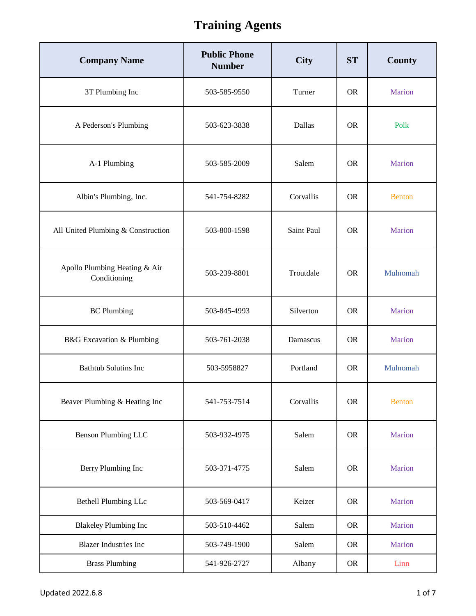| <b>Company Name</b>                           | <b>Public Phone</b><br><b>Number</b> | <b>City</b> | <b>ST</b> | County        |
|-----------------------------------------------|--------------------------------------|-------------|-----------|---------------|
| 3T Plumbing Inc                               | 503-585-9550                         | Turner      | <b>OR</b> | Marion        |
| A Pederson's Plumbing                         | 503-623-3838                         | Dallas      | <b>OR</b> | Polk          |
| A-1 Plumbing                                  | 503-585-2009                         | Salem       | <b>OR</b> | Marion        |
| Albin's Plumbing, Inc.                        | 541-754-8282                         | Corvallis   | <b>OR</b> | <b>Benton</b> |
| All United Plumbing & Construction            | 503-800-1598                         | Saint Paul  | <b>OR</b> | Marion        |
| Apollo Plumbing Heating & Air<br>Conditioning | 503-239-8801                         | Troutdale   | <b>OR</b> | Mulnomah      |
| <b>BC</b> Plumbing                            | 503-845-4993                         | Silverton   | <b>OR</b> | Marion        |
| B&G Excavation & Plumbing                     | 503-761-2038                         | Damascus    | <b>OR</b> | Marion        |
| <b>Bathtub Solutins Inc</b>                   | 503-5958827                          | Portland    | <b>OR</b> | Mulnomah      |
| Beaver Plumbing & Heating Inc                 | 541-753-7514                         | Corvallis   | <b>OR</b> | <b>Benton</b> |
| Benson Plumbing LLC                           | 503-932-4975                         | Salem       | <b>OR</b> | Marion        |
| Berry Plumbing Inc                            | 503-371-4775                         | Salem       | <b>OR</b> | Marion        |
| Bethell Plumbing LLc                          | 503-569-0417                         | Keizer      | <b>OR</b> | Marion        |
| <b>Blakeley Plumbing Inc</b>                  | 503-510-4462                         | Salem       | <b>OR</b> | Marion        |
| <b>Blazer Industries Inc</b>                  | 503-749-1900                         | Salem       | <b>OR</b> | Marion        |
| <b>Brass Plumbing</b>                         | 541-926-2727                         | Albany      | <b>OR</b> | Linn          |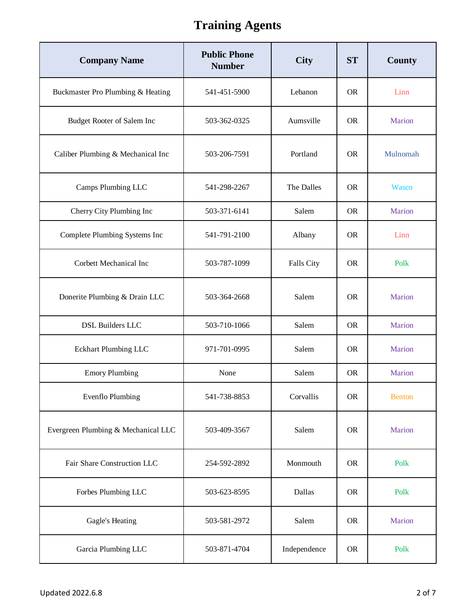| <b>Company Name</b>                 | <b>Public Phone</b><br><b>Number</b> | <b>City</b>       | <b>ST</b> | County        |
|-------------------------------------|--------------------------------------|-------------------|-----------|---------------|
| Buckmaster Pro Plumbing & Heating   | 541-451-5900                         | Lebanon           | <b>OR</b> | Linn          |
| Budget Rooter of Salem Inc          | 503-362-0325                         | Aumsville         | <b>OR</b> | Marion        |
| Caliber Plumbing & Mechanical Inc   | 503-206-7591                         | Portland          | <b>OR</b> | Mulnomah      |
| Camps Plumbing LLC                  | 541-298-2267                         | The Dalles        | <b>OR</b> | <b>Wasco</b>  |
| Cherry City Plumbing Inc            | 503-371-6141                         | Salem             | <b>OR</b> | Marion        |
| Complete Plumbing Systems Inc       | 541-791-2100                         | Albany            | <b>OR</b> | Linn          |
| Corbett Mechanical Inc              | 503-787-1099                         | <b>Falls City</b> | <b>OR</b> | Polk          |
| Donerite Plumbing & Drain LLC       | 503-364-2668                         | Salem             | <b>OR</b> | Marion        |
| <b>DSL Builders LLC</b>             | 503-710-1066                         | Salem             | <b>OR</b> | Marion        |
| <b>Eckhart Plumbing LLC</b>         | 971-701-0995                         | Salem             | <b>OR</b> | Marion        |
| <b>Emory Plumbing</b>               | None                                 | Salem             | <b>OR</b> | Marion        |
| <b>Evenflo Plumbing</b>             | 541-738-8853                         | Corvallis         | <b>OR</b> | <b>Benton</b> |
| Evergreen Plumbing & Mechanical LLC | 503-409-3567                         | Salem             | <b>OR</b> | Marion        |
| Fair Share Construction LLC         | 254-592-2892                         | Monmouth          | <b>OR</b> | Polk          |
| Forbes Plumbing LLC                 | 503-623-8595                         | Dallas            | <b>OR</b> | Polk          |
| Gagle's Heating                     | 503-581-2972                         | Salem             | <b>OR</b> | Marion        |
| Garcia Plumbing LLC                 | 503-871-4704                         | Independence      | <b>OR</b> | Polk          |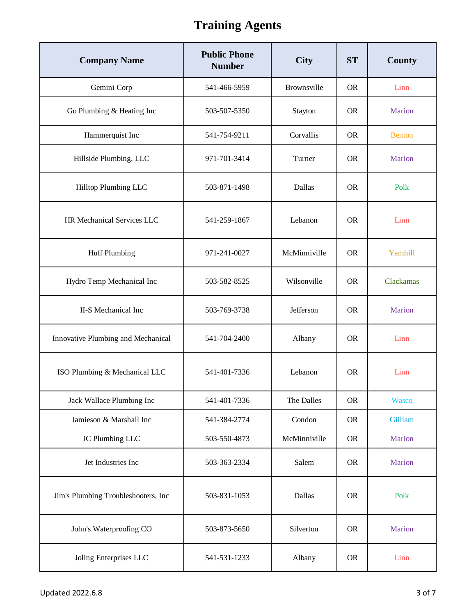| <b>Company Name</b>                 | <b>Public Phone</b><br><b>Number</b> | <b>City</b>  | <b>ST</b> | <b>County</b> |
|-------------------------------------|--------------------------------------|--------------|-----------|---------------|
| Gemini Corp                         | 541-466-5959                         | Brownsville  | <b>OR</b> | Linn          |
| Go Plumbing & Heating Inc           | 503-507-5350                         | Stayton      | <b>OR</b> | Marion        |
| Hammerquist Inc                     | 541-754-9211                         | Corvallis    | <b>OR</b> | <b>Benton</b> |
| Hillside Plumbing, LLC              | 971-701-3414                         | Turner       | <b>OR</b> | Marion        |
| Hilltop Plumbing LLC                | 503-871-1498                         | Dallas       | <b>OR</b> | Polk          |
| HR Mechanical Services LLC          | 541-259-1867                         | Lebanon      | <b>OR</b> | Linn          |
| <b>Huff Plumbing</b>                | 971-241-0027                         | McMinniville | <b>OR</b> | Yamhill       |
| Hydro Temp Mechanical Inc           | 503-582-8525                         | Wilsonville  | <b>OR</b> | Clackamas     |
| II-S Mechanical Inc                 | 503-769-3738                         | Jefferson    | <b>OR</b> | Marion        |
| Innovative Plumbing and Mechanical  | 541-704-2400                         | Albany       | <b>OR</b> | Linn          |
| ISO Plumbing & Mechanical LLC       | 541-401-7336                         | Lebanon      | <b>OR</b> | Linn          |
| Jack Wallace Plumbing Inc           | 541-401-7336                         | The Dalles   | <b>OR</b> | <b>Wasco</b>  |
| Jamieson & Marshall Inc             | 541-384-2774                         | Condon       | <b>OR</b> | Gilliam       |
| JC Plumbing LLC                     | 503-550-4873                         | McMinniville | <b>OR</b> | Marion        |
| Jet Industries Inc                  | 503-363-2334                         | Salem        | <b>OR</b> | Marion        |
| Jim's Plumbing Troubleshooters, Inc | 503-831-1053                         | Dallas       | <b>OR</b> | Polk          |
| John's Waterproofing CO             | 503-873-5650                         | Silverton    | <b>OR</b> | Marion        |
| Joling Enterprises LLC              | 541-531-1233                         | Albany       | <b>OR</b> | Linn          |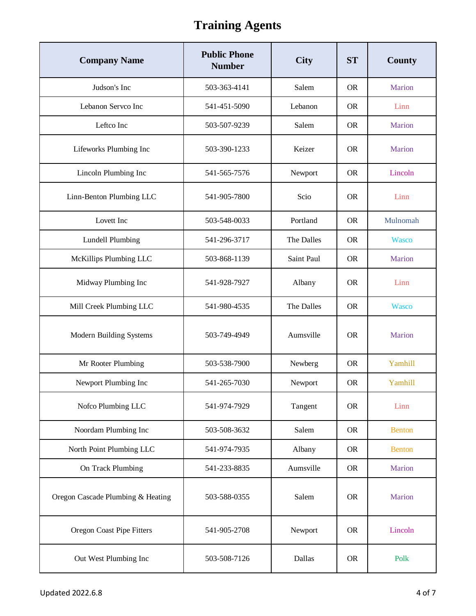| <b>Company Name</b>               | <b>Public Phone</b><br><b>Number</b> | <b>City</b>       | <b>ST</b> | <b>County</b> |
|-----------------------------------|--------------------------------------|-------------------|-----------|---------------|
| Judson's Inc                      | 503-363-4141                         | Salem             | <b>OR</b> | Marion        |
| Lebanon Servco Inc                | 541-451-5090                         | Lebanon           | <b>OR</b> | Linn          |
| Leftco Inc                        | 503-507-9239                         | Salem             | <b>OR</b> | Marion        |
| Lifeworks Plumbing Inc            | 503-390-1233                         | Keizer            | <b>OR</b> | Marion        |
| Lincoln Plumbing Inc              | 541-565-7576                         | Newport           | <b>OR</b> | Lincoln       |
| Linn-Benton Plumbing LLC          | 541-905-7800                         | Scio              | <b>OR</b> | Linn          |
| Lovett Inc                        | 503-548-0033                         | Portland          | <b>OR</b> | Mulnomah      |
| <b>Lundell Plumbing</b>           | 541-296-3717                         | The Dalles        | <b>OR</b> | Wasco         |
| McKillips Plumbing LLC            | 503-868-1139                         | <b>Saint Paul</b> | <b>OR</b> | Marion        |
| Midway Plumbing Inc               | 541-928-7927                         | Albany            | <b>OR</b> | Linn          |
| Mill Creek Plumbing LLC           | 541-980-4535                         | The Dalles        | <b>OR</b> | <b>Wasco</b>  |
| Modern Building Systems           | 503-749-4949                         | Aumsville         | <b>OR</b> | Marion        |
| Mr Rooter Plumbing                | 503-538-7900                         | Newberg           | <b>OR</b> | Yamhill       |
| Newport Plumbing Inc              | 541-265-7030                         | Newport           | <b>OR</b> | Yamhill       |
| Nofco Plumbing LLC                | 541-974-7929                         | Tangent           | <b>OR</b> | Linn          |
| Noordam Plumbing Inc              | 503-508-3632                         | Salem             | <b>OR</b> | <b>Benton</b> |
| North Point Plumbing LLC          | 541-974-7935                         | Albany            | <b>OR</b> | <b>Benton</b> |
| On Track Plumbing                 | 541-233-8835                         | Aumsville         | <b>OR</b> | Marion        |
| Oregon Cascade Plumbing & Heating | 503-588-0355                         | Salem             | <b>OR</b> | Marion        |
| Oregon Coast Pipe Fitters         | 541-905-2708                         | Newport           | <b>OR</b> | Lincoln       |
| Out West Plumbing Inc             | 503-508-7126                         | Dallas            | <b>OR</b> | Polk          |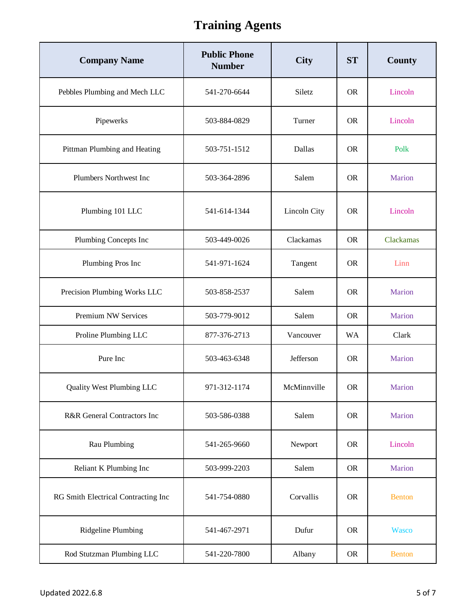| <b>Company Name</b>                 | <b>Public Phone</b><br><b>Number</b> | <b>City</b>  | <b>ST</b> | <b>County</b> |
|-------------------------------------|--------------------------------------|--------------|-----------|---------------|
| Pebbles Plumbing and Mech LLC       | 541-270-6644                         | Siletz       | <b>OR</b> | Lincoln       |
| Pipewerks                           | 503-884-0829                         | Turner       | <b>OR</b> | Lincoln       |
| Pittman Plumbing and Heating        | 503-751-1512                         | Dallas       | <b>OR</b> | Polk          |
| Plumbers Northwest Inc              | 503-364-2896                         | Salem        | <b>OR</b> | Marion        |
| Plumbing 101 LLC                    | 541-614-1344                         | Lincoln City | <b>OR</b> | Lincoln       |
| Plumbing Concepts Inc               | 503-449-0026                         | Clackamas    | <b>OR</b> | Clackamas     |
| Plumbing Pros Inc                   | 541-971-1624                         | Tangent      | <b>OR</b> | Linn          |
| Precision Plumbing Works LLC        | 503-858-2537                         | Salem        | <b>OR</b> | Marion        |
| Premium NW Services                 | 503-779-9012                         | Salem        | <b>OR</b> | Marion        |
| Proline Plumbing LLC                | 877-376-2713                         | Vancouver    | <b>WA</b> | Clark         |
| Pure Inc                            | 503-463-6348                         | Jefferson    | <b>OR</b> | Marion        |
| <b>Quality West Plumbing LLC</b>    | 971-312-1174                         | McMinnville  | <b>OR</b> | Marion        |
| R&R General Contractors Inc         | 503-586-0388                         | Salem        | <b>OR</b> | Marion        |
| Rau Plumbing                        | 541-265-9660                         | Newport      | <b>OR</b> | Lincoln       |
| Reliant K Plumbing Inc              | 503-999-2203                         | Salem        | <b>OR</b> | Marion        |
| RG Smith Electrical Contracting Inc | 541-754-0880                         | Corvallis    | <b>OR</b> | <b>Benton</b> |
| Ridgeline Plumbing                  | 541-467-2971                         | Dufur        | <b>OR</b> | <b>Wasco</b>  |
| Rod Stutzman Plumbing LLC           | 541-220-7800                         | Albany       | <b>OR</b> | <b>Benton</b> |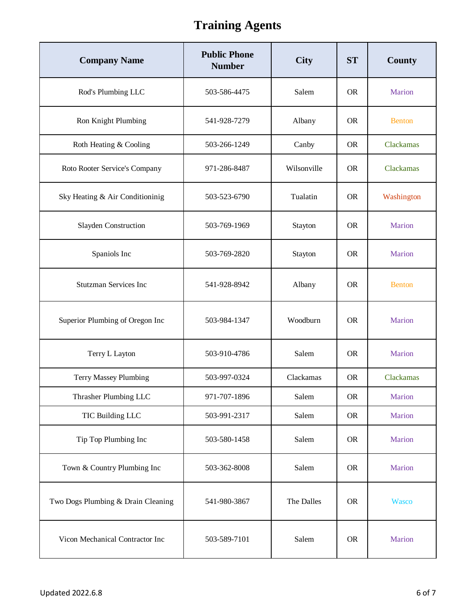| <b>Company Name</b>                | <b>Public Phone</b><br><b>Number</b> | <b>City</b> | <b>ST</b> | County        |
|------------------------------------|--------------------------------------|-------------|-----------|---------------|
| Rod's Plumbing LLC                 | 503-586-4475                         | Salem       | <b>OR</b> | Marion        |
| Ron Knight Plumbing                | 541-928-7279                         | Albany      | <b>OR</b> | <b>Benton</b> |
| Roth Heating & Cooling             | 503-266-1249                         | Canby       | <b>OR</b> | Clackamas     |
| Roto Rooter Service's Company      | 971-286-8487                         | Wilsonville | <b>OR</b> | Clackamas     |
| Sky Heating & Air Conditioninig    | 503-523-6790                         | Tualatin    | <b>OR</b> | Washington    |
| Slayden Construction               | 503-769-1969                         | Stayton     | <b>OR</b> | Marion        |
| Spaniols Inc                       | 503-769-2820                         | Stayton     | <b>OR</b> | Marion        |
| <b>Stutzman Services Inc</b>       | 541-928-8942                         | Albany      | <b>OR</b> | <b>Benton</b> |
| Superior Plumbing of Oregon Inc    | 503-984-1347                         | Woodburn    | <b>OR</b> | Marion        |
| Terry L Layton                     | 503-910-4786                         | Salem       | <b>OR</b> | Marion        |
| <b>Terry Massey Plumbing</b>       | 503-997-0324                         | Clackamas   | <b>OR</b> | Clackamas     |
| Thrasher Plumbing LLC              | 971-707-1896                         | Salem       | <b>OR</b> | Marion        |
| TIC Building LLC                   | 503-991-2317                         | Salem       | <b>OR</b> | Marion        |
| Tip Top Plumbing Inc               | 503-580-1458                         | Salem       | <b>OR</b> | Marion        |
| Town & Country Plumbing Inc        | 503-362-8008                         | Salem       | <b>OR</b> | Marion        |
| Two Dogs Plumbing & Drain Cleaning | 541-980-3867                         | The Dalles  | <b>OR</b> | <b>Wasco</b>  |
| Vicon Mechanical Contractor Inc    | 503-589-7101                         | Salem       | <b>OR</b> | Marion        |